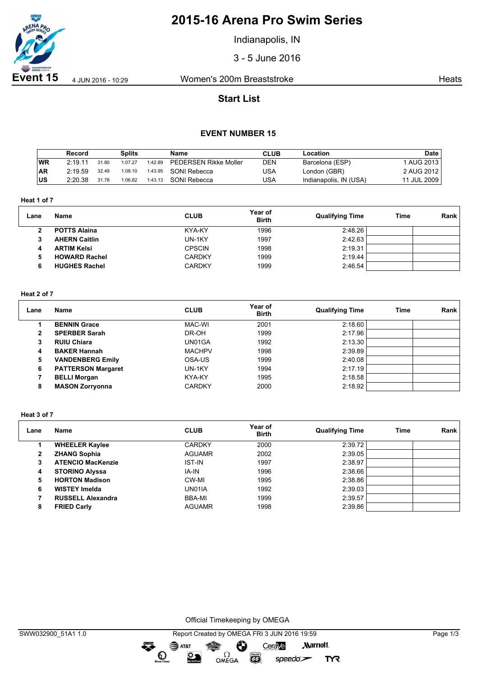

# **2015-16 Arena Pro Swim Series**

Indianapolis, IN

3 - 5 June 2016

**Event 15** 4 Jun 2016 - 10:29 Women's 200m Breaststroke Heats

# **Start List**

## **EVENT NUMBER 15**

|            | Record  |       | Splits  |         | Name                         | <b>CLUB</b> | Location               | <b>Date</b> |
|------------|---------|-------|---------|---------|------------------------------|-------------|------------------------|-------------|
| WR         | 2:19.11 | 31.80 | 1:07.27 | 1:42.89 | <b>PEDERSEN Rikke Moller</b> | <b>DEN</b>  | Barcelona (ESP)        | 1 AUG 2013  |
| <b>AR</b>  | 2:19.59 | 32.49 | 1:08.10 | 1:43.95 | SONI Rebecca                 | USA         | London (GBR)           | 2 AUG 2012  |
| <b>IUS</b> | 2:20.38 | 31.78 | 1:06.82 | 1:43.13 | SONI Rebecca                 | USA         | Indianapolis, IN (USA) | 11 JUL 2009 |

**Heat 1 of 7**

| Lane | <b>Name</b>          | <b>CLUB</b>   | Year of<br><b>Birth</b> | <b>Qualifying Time</b> | Time | Rank |
|------|----------------------|---------------|-------------------------|------------------------|------|------|
| 2    | <b>POTTS Alaina</b>  | KYA-KY        | 1996                    | 2:48.26                |      |      |
|      | <b>AHERN Caitlin</b> | UN-1KY        | 1997                    | 2:42.63                |      |      |
| 4    | <b>ARTIM Kelsi</b>   | <b>CPSCIN</b> | 1998                    | 2:19.31                |      |      |
|      | <b>HOWARD Rachel</b> | <b>CARDKY</b> | 1999                    | 2:19.44                |      |      |
|      | <b>HUGHES Rachel</b> | <b>CARDKY</b> | 1999                    | 2:46.54                |      |      |

#### **Heat 2 of 7**

| Lane | Name                      | <b>CLUB</b>   | Year of<br><b>Birth</b> | <b>Qualifying Time</b> | Time | <b>Rank</b> |
|------|---------------------------|---------------|-------------------------|------------------------|------|-------------|
|      | <b>BENNIN Grace</b>       | MAC-WI        | 2001                    | 2:18.60                |      |             |
|      | <b>SPERBER Sarah</b>      | DR-OH         | 1999                    | 2:17.96                |      |             |
| 3    | <b>RUIU Chiara</b>        | UN01GA        | 1992                    | 2:13.30                |      |             |
| 4    | <b>BAKER Hannah</b>       | <b>MACHPV</b> | 1998                    | 2:39.89                |      |             |
| 5    | <b>VANDENBERG Emily</b>   | OSA-US        | 1999                    | 2:40.08                |      |             |
| 6    | <b>PATTERSON Margaret</b> | UN-1KY        | 1994                    | 2:17.19                |      |             |
|      | <b>BELLI Morgan</b>       | KYA-KY        | 1995                    | 2:18.58                |      |             |
| 8    | <b>MASON Zorryonna</b>    | <b>CARDKY</b> | 2000                    | 2:18.92                |      |             |

#### **Heat 3 of 7**

| Lane | <b>Name</b>              | <b>CLUB</b>   | Year of<br><b>Birth</b> | <b>Qualifying Time</b> | Time | Rank |
|------|--------------------------|---------------|-------------------------|------------------------|------|------|
|      | <b>WHEELER Kaylee</b>    | <b>CARDKY</b> | 2000                    | 2:39.72                |      |      |
| 2    | <b>ZHANG Sophia</b>      | <b>AGUAMR</b> | 2002                    | 2:39.05                |      |      |
| 3    | <b>ATENCIO MacKenzie</b> | <b>IST-IN</b> | 1997                    | 2:38.97                |      |      |
| 4    | <b>STORINO Alyssa</b>    | IA-IN         | 1996                    | 2:38.66                |      |      |
| 5    | <b>HORTON Madison</b>    | CW-MI         | 1995                    | 2:38.86                |      |      |
| 6    | <b>WISTEY Imelda</b>     | UN01IA        | 1992                    | 2:39.03                |      |      |
|      | <b>RUSSELL Alexandra</b> | BBA-MI        | 1999                    | 2:39.57                |      |      |
| 8    | <b>FRIED Carly</b>       | <b>AGUAMR</b> | 1998                    | 2:39.86                |      |      |

Official Timekeeping by OMEGA

OMEGA

 $\bullet$ 

 $\odot$ 

 $\sum_{n=1}^{\infty}$ 

**EGS** 

 $speedo$ 

**TYR**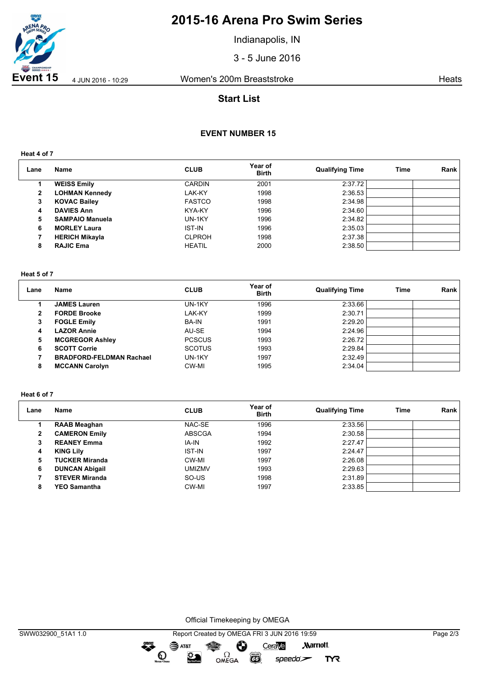

# **2015-16 Arena Pro Swim Series**

Indianapolis, IN

3 - 5 June 2016

**Event 15** 4 Jun 2016 - 10:29 Women's 200m Breaststroke Heats

## **Start List**

## **EVENT NUMBER 15**

**Heat 4 of 7**

| Lane           | Name                   | <b>CLUB</b>   | Year of<br><b>Birth</b> | <b>Qualifying Time</b> | Time | Rank |
|----------------|------------------------|---------------|-------------------------|------------------------|------|------|
|                | <b>WEISS Emily</b>     | <b>CARDIN</b> | 2001                    | 2:37.72                |      |      |
| $\overline{2}$ | <b>LOHMAN Kennedy</b>  | LAK-KY        | 1998                    | 2:36.53                |      |      |
| 3              | <b>KOVAC Bailey</b>    | <b>FASTCO</b> | 1998                    | 2:34.98                |      |      |
| 4              | <b>DAVIES Ann</b>      | KYA-KY        | 1996                    | 2:34.60                |      |      |
| 5              | <b>SAMPAIO Manuela</b> | UN-1KY        | 1996                    | 2:34.82                |      |      |
| 6              | <b>MORLEY Laura</b>    | <b>IST-IN</b> | 1996                    | 2:35.03                |      |      |
|                | <b>HERICH Mikayla</b>  | <b>CLPROH</b> | 1998                    | 2:37.38                |      |      |
| 8              | <b>RAJIC Ema</b>       | <b>HEATIL</b> | 2000                    | 2:38.50                |      |      |

#### **Heat 5 of 7**

| Lane | <b>Name</b>                     | <b>CLUB</b>   | Year of<br><b>Birth</b> | <b>Qualifying Time</b> | Time | Rank |
|------|---------------------------------|---------------|-------------------------|------------------------|------|------|
|      | <b>JAMES Lauren</b>             | UN-1KY        | 1996                    | 2:33.66                |      |      |
| 2    | <b>FORDE Brooke</b>             | LAK-KY        | 1999                    | 2:30.71                |      |      |
| 3    | <b>FOGLE Emily</b>              | <b>BA-IN</b>  | 1991                    | 2:29.20                |      |      |
| 4    | <b>LAZOR Annie</b>              | AU-SE         | 1994                    | 2:24.96                |      |      |
| 5    | <b>MCGREGOR Ashley</b>          | <b>PCSCUS</b> | 1993                    | 2:26.72                |      |      |
| 6    | <b>SCOTT Corrie</b>             | <b>SCOTUS</b> | 1993                    | 2:29.84                |      |      |
|      | <b>BRADFORD-FELDMAN Rachael</b> | UN-1KY        | 1997                    | 2:32.49                |      |      |
| 8    | <b>MCCANN Carolyn</b>           | CW-MI         | 1995                    | 2:34.04                |      |      |

### **Heat 6 of 7**

| Lane | Name                  | <b>CLUB</b>   | Year of<br><b>Birth</b> | <b>Qualifying Time</b> | Time | Rank |
|------|-----------------------|---------------|-------------------------|------------------------|------|------|
|      | <b>RAAB Meaghan</b>   | NAC-SE        | 1996                    | 2:33.56                |      |      |
| 2    | <b>CAMERON Emily</b>  | <b>ABSCGA</b> | 1994                    | 2:30.58                |      |      |
| 3    | <b>REANEY Emma</b>    | IA-IN         | 1992                    | 2:27.47                |      |      |
| 4    | <b>KING Lily</b>      | <b>IST-IN</b> | 1997                    | 2:24.47                |      |      |
| 5    | <b>TUCKER Miranda</b> | CW-MI         | 1997                    | 2:26.08                |      |      |
| 6    | <b>DUNCAN Abigail</b> | <b>UMIZMV</b> | 1993                    | 2:29.63                |      |      |
|      | <b>STEVER Miranda</b> | SO-US         | 1998                    | 2:31.89                |      |      |
| 8    | <b>YEO Samantha</b>   | CW-MI         | 1997                    | 2:33.85                |      |      |

Official Timekeeping by OMEGA

dreng:

**TYR**